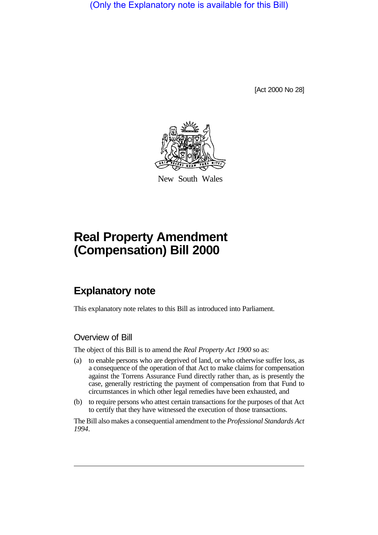(Only the Explanatory note is available for this Bill)

[Act 2000 No 28]



New South Wales

# **Real Property Amendment (Compensation) Bill 2000**

## **Explanatory note**

This explanatory note relates to this Bill as introduced into Parliament.

## Overview of Bill

The object of this Bill is to amend the *Real Property Act 1900* so as:

- (a) to enable persons who are deprived of land, or who otherwise suffer loss, as a consequence of the operation of that Act to make claims for compensation against the Torrens Assurance Fund directly rather than, as is presently the case, generally restricting the payment of compensation from that Fund to circumstances in which other legal remedies have been exhausted, and
- (b) to require persons who attest certain transactions for the purposes of that Act to certify that they have witnessed the execution of those transactions.

The Bill also makes a consequential amendment to the *Professional Standards Act 1994*.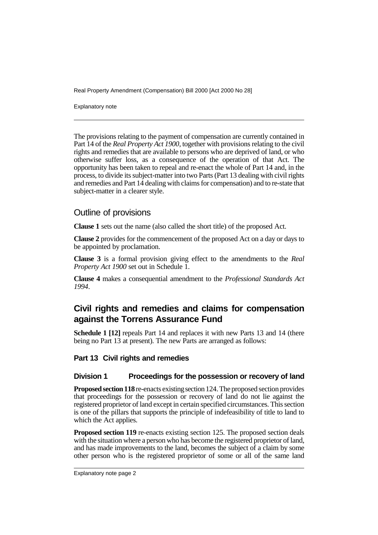Explanatory note

The provisions relating to the payment of compensation are currently contained in Part 14 of the *Real Property Act 1900*, together with provisions relating to the civil rights and remedies that are available to persons who are deprived of land, or who otherwise suffer loss, as a consequence of the operation of that Act. The opportunity has been taken to repeal and re-enact the whole of Part 14 and, in the process, to divide its subject-matter into two Parts (Part 13 dealing with civil rights and remedies and Part 14 dealing with claims for compensation) and to re-state that subject-matter in a clearer style.

## Outline of provisions

**Clause 1** sets out the name (also called the short title) of the proposed Act.

**Clause 2** provides for the commencement of the proposed Act on a day or days to be appointed by proclamation.

**Clause 3** is a formal provision giving effect to the amendments to the *Real Property Act 1900* set out in Schedule 1.

**Clause 4** makes a consequential amendment to the *Professional Standards Act 1994*.

## **Civil rights and remedies and claims for compensation against the Torrens Assurance Fund**

**Schedule 1 [12]** repeals Part 14 and replaces it with new Parts 13 and 14 (there being no Part 13 at present). The new Parts are arranged as follows:

## **Part 13 Civil rights and remedies**

## **Division 1 Proceedings for the possession or recovery of land**

**Proposed section 118** re-enacts existing section 124. The proposed section provides that proceedings for the possession or recovery of land do not lie against the registered proprietor of land except in certain specified circumstances. This section is one of the pillars that supports the principle of indefeasibility of title to land to which the Act applies.

**Proposed section 119** re-enacts existing section 125. The proposed section deals with the situation where a person who has become the registered proprietor of land, and has made improvements to the land, becomes the subject of a claim by some other person who is the registered proprietor of some or all of the same land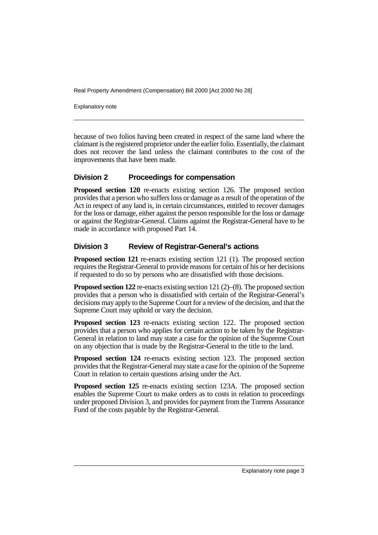Explanatory note

because of two folios having been created in respect of the same land where the claimant is the registered proprietor under the earlier folio. Essentially, the claimant does not recover the land unless the claimant contributes to the cost of the improvements that have been made.

## **Division 2 Proceedings for compensation**

**Proposed section 120** re-enacts existing section 126. The proposed section provides that a person who suffers loss or damage as a result of the operation of the Act in respect of any land is, in certain circumstances, entitled to recover damages for the loss or damage, either against the person responsible for the loss or damage or against the Registrar-General. Claims against the Registrar-General have to be made in accordance with proposed Part 14.

## **Division 3 Review of Registrar-General's actions**

**Proposed section 121** re-enacts existing section 121 (1). The proposed section requires the Registrar-General to provide reasons for certain of his or her decisions if requested to do so by persons who are dissatisfied with those decisions.

**Proposed section 122** re-enacts existing section 121 (2)–(8). The proposed section provides that a person who is dissatisfied with certain of the Registrar-General's decisions may apply to the Supreme Court for a review of the decision, and that the Supreme Court may uphold or vary the decision.

**Proposed section 123** re-enacts existing section 122. The proposed section provides that a person who applies for certain action to be taken by the Registrar-General in relation to land may state a case for the opinion of the Supreme Court on any objection that is made by the Registrar-General to the title to the land.

**Proposed section 124** re-enacts existing section 123. The proposed section provides that the Registrar-General may state a case for the opinion of the Supreme Court in relation to certain questions arising under the Act.

**Proposed section 125** re-enacts existing section 123A. The proposed section enables the Supreme Court to make orders as to costs in relation to proceedings under proposed Division 3, and provides for payment from the Torrens Assurance Fund of the costs payable by the Registrar-General.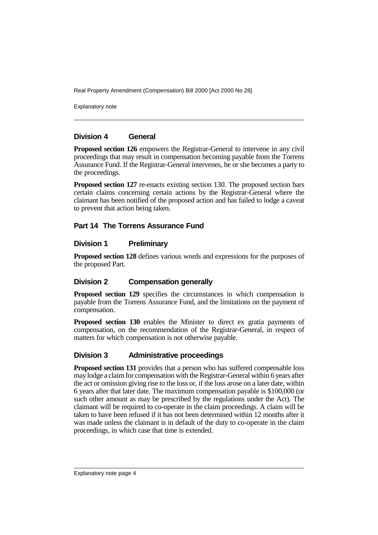Explanatory note

#### **Division 4 General**

**Proposed section 126** empowers the Registrar-General to intervene in any civil proceedings that may result in compensation becoming payable from the Torrens Assurance Fund. If the Registrar-General intervenes, he or she becomes a party to the proceedings.

**Proposed section 127** re-enacts existing section 130. The proposed section bars certain claims concerning certain actions by the Registrar-General where the claimant has been notified of the proposed action and has failed to lodge a caveat to prevent that action being taken.

## **Part 14 The Torrens Assurance Fund**

#### **Division 1 Preliminary**

**Proposed section 128** defines various words and expressions for the purposes of the proposed Part.

## **Division 2 Compensation generally**

**Proposed section 129** specifies the circumstances in which compensation is payable from the Torrens Assurance Fund, and the limitations on the payment of compensation.

**Proposed section 130** enables the Minister to direct ex gratia payments of compensation, on the recommendation of the Registrar-General, in respect of matters for which compensation is not otherwise payable.

## **Division 3 Administrative proceedings**

**Proposed section 131** provides that a person who has suffered compensable loss may lodge a claim for compensation with the Registrar-General within 6 years after the act or omission giving rise to the loss or, if the loss arose on a later date, within 6 years after that later date. The maximum compensation payable is \$100,000 (or such other amount as may be prescribed by the regulations under the Act). The claimant will be required to co-operate in the claim proceedings. A claim will be taken to have been refused if it has not been determined within 12 months after it was made unless the claimant is in default of the duty to co-operate in the claim proceedings, in which case that time is extended.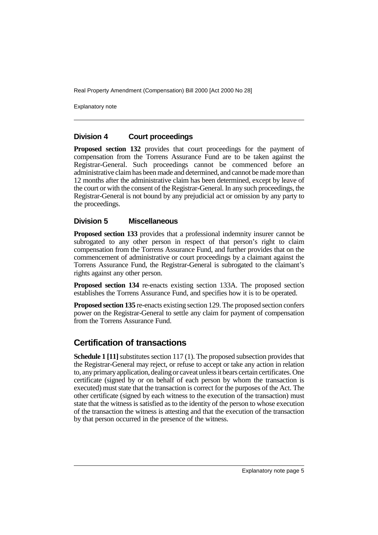Explanatory note

#### **Division 4 Court proceedings**

**Proposed section 132** provides that court proceedings for the payment of compensation from the Torrens Assurance Fund are to be taken against the Registrar-General. Such proceedings cannot be commenced before an administrative claim has been made and determined, and cannot be made more than 12 months after the administrative claim has been determined, except by leave of the court or with the consent of the Registrar-General. In any such proceedings, the Registrar-General is not bound by any prejudicial act or omission by any party to the proceedings.

#### **Division 5 Miscellaneous**

**Proposed section 133** provides that a professional indemnity insurer cannot be subrogated to any other person in respect of that person's right to claim compensation from the Torrens Assurance Fund, and further provides that on the commencement of administrative or court proceedings by a claimant against the Torrens Assurance Fund, the Registrar-General is subrogated to the claimant's rights against any other person.

**Proposed section 134** re-enacts existing section 133A. The proposed section establishes the Torrens Assurance Fund, and specifies how it is to be operated.

**Proposed section 135** re-enacts existing section 129. The proposed section confers power on the Registrar-General to settle any claim for payment of compensation from the Torrens Assurance Fund.

## **Certification of transactions**

**Schedule 1 [11]** substitutes section 117 (1). The proposed subsection provides that the Registrar-General may reject, or refuse to accept or take any action in relation to, any primary application, dealing or caveat unless it bears certain certificates. One certificate (signed by or on behalf of each person by whom the transaction is executed) must state that the transaction is correct for the purposes of the Act. The other certificate (signed by each witness to the execution of the transaction) must state that the witness is satisfied as to the identity of the person to whose execution of the transaction the witness is attesting and that the execution of the transaction by that person occurred in the presence of the witness.